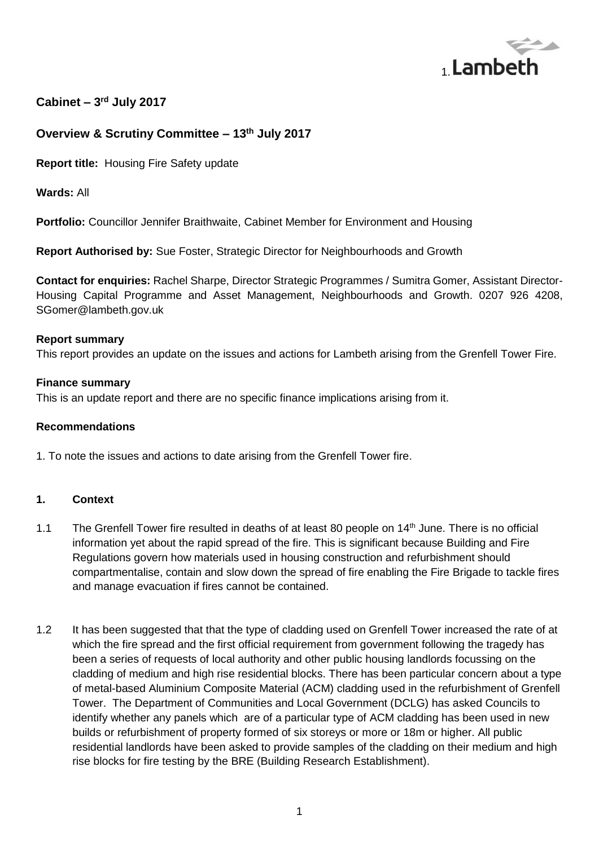

# **Cabinet – 3 rd July 2017**

## **Overview & Scrutiny Committee – 13th July 2017**

**Report title:** Housing Fire Safety update

**Wards:** All

**Portfolio:** Councillor Jennifer Braithwaite, Cabinet Member for Environment and Housing

**Report Authorised by:** Sue Foster, Strategic Director for Neighbourhoods and Growth

**Contact for enquiries:** Rachel Sharpe, Director Strategic Programmes / Sumitra Gomer, Assistant Director-Housing Capital Programme and Asset Management, Neighbourhoods and Growth. 0207 926 4208, SGomer@lambeth.gov.uk

#### **Report summary**

This report provides an update on the issues and actions for Lambeth arising from the Grenfell Tower Fire.

### **Finance summary**

This is an update report and there are no specific finance implications arising from it.

#### **Recommendations**

1. To note the issues and actions to date arising from the Grenfell Tower fire.

### **1. Context**

- 1.1 The Grenfell Tower fire resulted in deaths of at least 80 people on 14<sup>th</sup> June. There is no official information yet about the rapid spread of the fire. This is significant because Building and Fire Regulations govern how materials used in housing construction and refurbishment should compartmentalise, contain and slow down the spread of fire enabling the Fire Brigade to tackle fires and manage evacuation if fires cannot be contained.
- 1.2 It has been suggested that that the type of cladding used on Grenfell Tower increased the rate of at which the fire spread and the first official requirement from government following the tragedy has been a series of requests of local authority and other public housing landlords focussing on the cladding of medium and high rise residential blocks. There has been particular concern about a type of metal-based Aluminium Composite Material (ACM) cladding used in the refurbishment of Grenfell Tower. The Department of Communities and Local Government (DCLG) has asked Councils to identify whether any panels which are of a particular type of ACM cladding has been used in new builds or refurbishment of property formed of six storeys or more or 18m or higher. All public residential landlords have been asked to provide samples of the cladding on their medium and high rise blocks for fire testing by the BRE (Building Research Establishment).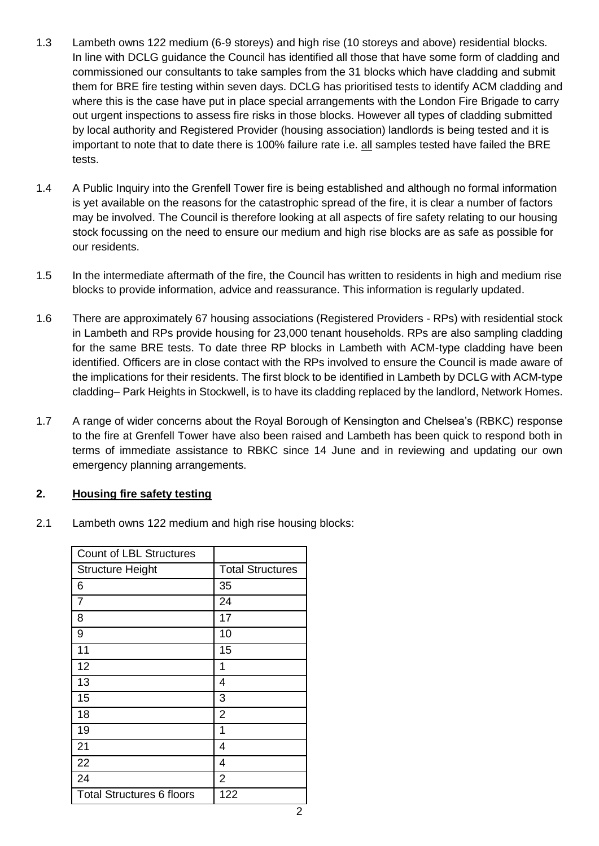- 1.3 Lambeth owns 122 medium (6-9 storeys) and high rise (10 storeys and above) residential blocks. In line with DCLG guidance the Council has identified all those that have some form of cladding and commissioned our consultants to take samples from the 31 blocks which have cladding and submit them for BRE fire testing within seven days. DCLG has prioritised tests to identify ACM cladding and where this is the case have put in place special arrangements with the London Fire Brigade to carry out urgent inspections to assess fire risks in those blocks. However all types of cladding submitted by local authority and Registered Provider (housing association) landlords is being tested and it is important to note that to date there is 100% failure rate i.e. all samples tested have failed the BRE tests.
- 1.4 A Public Inquiry into the Grenfell Tower fire is being established and although no formal information is yet available on the reasons for the catastrophic spread of the fire, it is clear a number of factors may be involved. The Council is therefore looking at all aspects of fire safety relating to our housing stock focussing on the need to ensure our medium and high rise blocks are as safe as possible for our residents.
- 1.5 In the intermediate aftermath of the fire, the Council has written to residents in high and medium rise blocks to provide information, advice and reassurance. This information is regularly updated.
- 1.6 There are approximately 67 housing associations (Registered Providers RPs) with residential stock in Lambeth and RPs provide housing for 23,000 tenant households. RPs are also sampling cladding for the same BRE tests. To date three RP blocks in Lambeth with ACM-type cladding have been identified. Officers are in close contact with the RPs involved to ensure the Council is made aware of the implications for their residents. The first block to be identified in Lambeth by DCLG with ACM-type cladding– Park Heights in Stockwell, is to have its cladding replaced by the landlord, Network Homes.
- 1.7 A range of wider concerns about the Royal Borough of Kensington and Chelsea's (RBKC) response to the fire at Grenfell Tower have also been raised and Lambeth has been quick to respond both in terms of immediate assistance to RBKC since 14 June and in reviewing and updating our own emergency planning arrangements.

### **2. Housing fire safety testing**

2.1 Lambeth owns 122 medium and high rise housing blocks:

| <b>Count of LBL Structures</b>   |                         |
|----------------------------------|-------------------------|
| <b>Structure Height</b>          | <b>Total Structures</b> |
| 6                                | 35                      |
| 7                                | 24                      |
| 8                                | 17                      |
| 9                                | 10                      |
| 11                               | 15                      |
| 12                               | 1                       |
| 13                               | 4                       |
| 15                               | 3                       |
| 18                               | $\overline{2}$          |
| 19                               | 1                       |
| 21                               | 4                       |
| 22                               | 4                       |
| 24                               | $\overline{2}$          |
| <b>Total Structures 6 floors</b> | 122                     |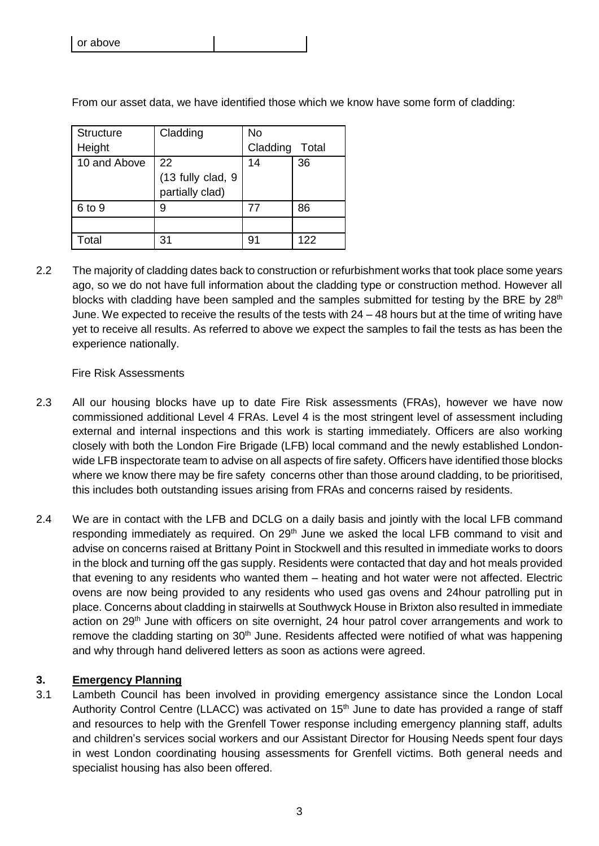| Structure<br>Height | Cladding                                   | No<br>Cladding | Total |
|---------------------|--------------------------------------------|----------------|-------|
| 10 and Above        | 22<br>(13 fully clad, 9<br>partially clad) | 14             | 36    |
| 6 to 9              | 9                                          | 77             | 86    |
|                     |                                            |                |       |
| Total               | 31                                         | 91             | 122   |

From our asset data, we have identified those which we know have some form of cladding:

2.2 The majority of cladding dates back to construction or refurbishment works that took place some years ago, so we do not have full information about the cladding type or construction method. However all blocks with cladding have been sampled and the samples submitted for testing by the BRE by 28<sup>th</sup> June. We expected to receive the results of the tests with  $24 - 48$  hours but at the time of writing have yet to receive all results. As referred to above we expect the samples to fail the tests as has been the experience nationally.

### Fire Risk Assessments

- 2.3 All our housing blocks have up to date Fire Risk assessments (FRAs), however we have now commissioned additional Level 4 FRAs. Level 4 is the most stringent level of assessment including external and internal inspections and this work is starting immediately. Officers are also working closely with both the London Fire Brigade (LFB) local command and the newly established Londonwide LFB inspectorate team to advise on all aspects of fire safety. Officers have identified those blocks where we know there may be fire safety concerns other than those around cladding, to be prioritised, this includes both outstanding issues arising from FRAs and concerns raised by residents.
- 2.4 We are in contact with the LFB and DCLG on a daily basis and jointly with the local LFB command responding immediately as required. On 29<sup>th</sup> June we asked the local LFB command to visit and advise on concerns raised at Brittany Point in Stockwell and this resulted in immediate works to doors in the block and turning off the gas supply. Residents were contacted that day and hot meals provided that evening to any residents who wanted them – heating and hot water were not affected. Electric ovens are now being provided to any residents who used gas ovens and 24hour patrolling put in place. Concerns about cladding in stairwells at Southwyck House in Brixton also resulted in immediate action on 29<sup>th</sup> June with officers on site overnight, 24 hour patrol cover arrangements and work to remove the cladding starting on 30<sup>th</sup> June. Residents affected were notified of what was happening and why through hand delivered letters as soon as actions were agreed.

### **3. Emergency Planning**

3.1 Lambeth Council has been involved in providing emergency assistance since the London Local Authority Control Centre (LLACC) was activated on 15<sup>th</sup> June to date has provided a range of staff and resources to help with the Grenfell Tower response including emergency planning staff, adults and children's services social workers and our Assistant Director for Housing Needs spent four days in west London coordinating housing assessments for Grenfell victims. Both general needs and specialist housing has also been offered.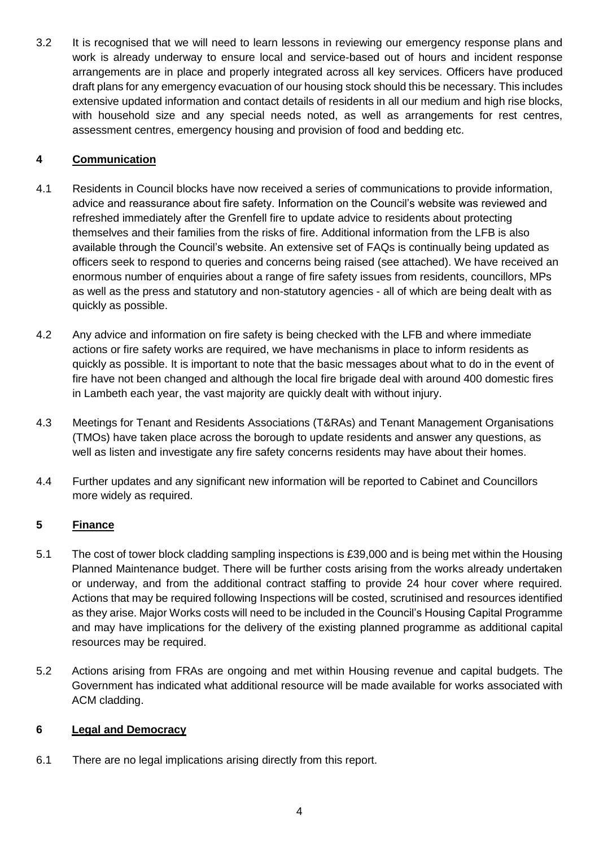3.2 It is recognised that we will need to learn lessons in reviewing our emergency response plans and work is already underway to ensure local and service-based out of hours and incident response arrangements are in place and properly integrated across all key services. Officers have produced draft plans for any emergency evacuation of our housing stock should this be necessary. This includes extensive updated information and contact details of residents in all our medium and high rise blocks, with household size and any special needs noted, as well as arrangements for rest centres, assessment centres, emergency housing and provision of food and bedding etc.

## **4 Communication**

- 4.1 Residents in Council blocks have now received a series of communications to provide information, advice and reassurance about fire safety. Information on the Council's website was reviewed and refreshed immediately after the Grenfell fire to update advice to residents about protecting themselves and their families from the risks of fire. Additional information from the LFB is also available through the Council's website. An extensive set of FAQs is continually being updated as officers seek to respond to queries and concerns being raised (see attached). We have received an enormous number of enquiries about a range of fire safety issues from residents, councillors, MPs as well as the press and statutory and non-statutory agencies - all of which are being dealt with as quickly as possible.
- 4.2 Any advice and information on fire safety is being checked with the LFB and where immediate actions or fire safety works are required, we have mechanisms in place to inform residents as quickly as possible. It is important to note that the basic messages about what to do in the event of fire have not been changed and although the local fire brigade deal with around 400 domestic fires in Lambeth each year, the vast majority are quickly dealt with without injury.
- 4.3 Meetings for Tenant and Residents Associations (T&RAs) and Tenant Management Organisations (TMOs) have taken place across the borough to update residents and answer any questions, as well as listen and investigate any fire safety concerns residents may have about their homes.
- 4.4 Further updates and any significant new information will be reported to Cabinet and Councillors more widely as required.

## **5 Finance**

- 5.1 The cost of tower block cladding sampling inspections is £39,000 and is being met within the Housing Planned Maintenance budget. There will be further costs arising from the works already undertaken or underway, and from the additional contract staffing to provide 24 hour cover where required. Actions that may be required following Inspections will be costed, scrutinised and resources identified as they arise. Major Works costs will need to be included in the Council's Housing Capital Programme and may have implications for the delivery of the existing planned programme as additional capital resources may be required.
- 5.2 Actions arising from FRAs are ongoing and met within Housing revenue and capital budgets. The Government has indicated what additional resource will be made available for works associated with ACM cladding.

## **6 Legal and Democracy**

6.1 There are no legal implications arising directly from this report.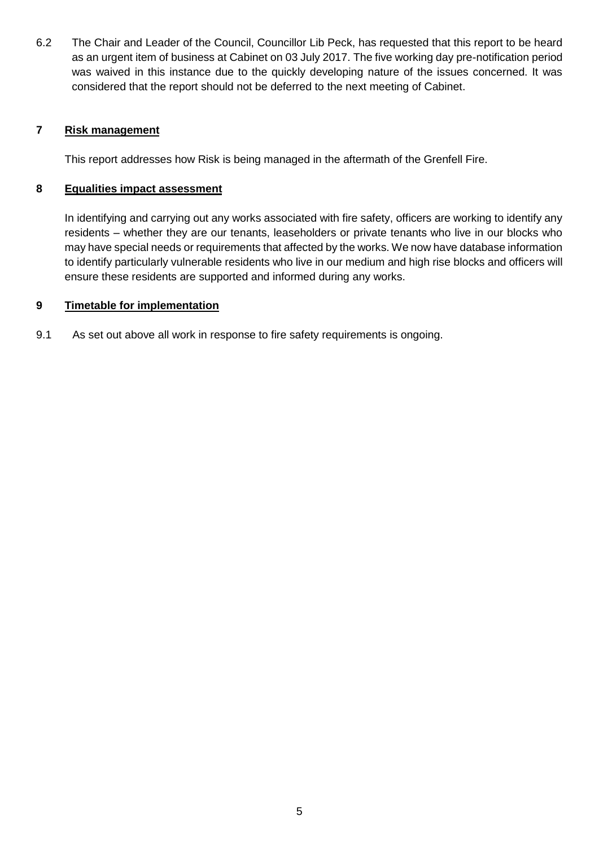6.2 The Chair and Leader of the Council, Councillor Lib Peck, has requested that this report to be heard as an urgent item of business at Cabinet on 03 July 2017. The five working day pre-notification period was waived in this instance due to the quickly developing nature of the issues concerned. It was considered that the report should not be deferred to the next meeting of Cabinet.

## **7 Risk management**

This report addresses how Risk is being managed in the aftermath of the Grenfell Fire.

### **8 Equalities impact assessment**

In identifying and carrying out any works associated with fire safety, officers are working to identify any residents – whether they are our tenants, leaseholders or private tenants who live in our blocks who may have special needs or requirements that affected by the works. We now have database information to identify particularly vulnerable residents who live in our medium and high rise blocks and officers will ensure these residents are supported and informed during any works.

### **9 Timetable for implementation**

9.1 As set out above all work in response to fire safety requirements is ongoing.